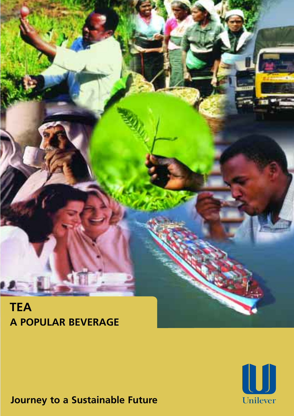

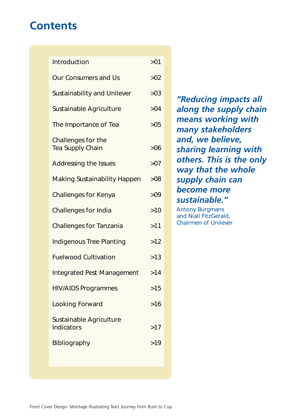## **Contents**

| Introduction                           | >01   |
|----------------------------------------|-------|
| <b>Our Consumers and Us</b>            | >02   |
| <b>Sustainability and Unilever</b>     | >03   |
| Sustainable Agriculture                | >04   |
| The Importance of Tea                  | >05   |
| Challenges for the<br>Tea Supply Chain | >06   |
| Addressing the Issues                  | >07   |
| <b>Making Sustainability Happen</b>    | >08   |
| <b>Challenges for Kenya</b>            | >09   |
| Challenges for India                   | $>10$ |
| <b>Challenges for Tanzania</b>         | >11   |
| <b>Indigenous Tree Planting</b>        | $>12$ |
| <b>Fuelwood Cultivation</b>            | >13   |
| <b>Integrated Pest Management</b>      | >14   |
| <b>HIV/AIDS Programmes</b>             | >15   |
| Looking Forward                        | $>16$ |
| Sustainable Agriculture<br>Indicators  | >17   |
| Bibliography                           | >19   |

*"Reducing impacts all along the supply chain means working with many stakeholders and, we believe, sharing learning with others. This is the only way that the whole supply chain can become more sustainable."* 

Antony Burgmans and Niall FitzGerald, Chairmen of Unilever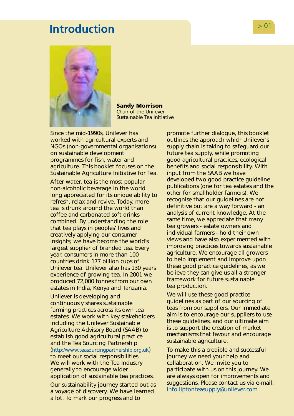## <span id="page-2-0"></span>**Introduction**  $> 01$



**Sandy Morrison**  Chair of the Unilever Sustainable Tea Initiative

Since the mid-1990s, Unilever has worked with agricultural experts and NGOs (non-governmental organisations) on sustainable development programmes for fish, water and agriculture. This booklet focuses on the Sustainable Agriculture Initiative for Tea.

After water, tea is the most popular non-alcoholic beverage in the world long appreciated for its unique ability to refresh, relax and revive. Today, more tea is drunk around the world than coffee and carbonated soft drinks combined. By understanding the role that tea plays in peoples' lives and creatively applying our consumer insights, we have become the world's largest supplier of branded tea. Every year, consumers in more than 100 countries drink 177 billion cups of Unilever tea. Unilever also has 130 years experience of growing tea. In 2001 we produced 72,000 tonnes from our own estates in India, Kenya and Tanzania.

Unilever is developing and continuously shares sustainable farming practices across its own tea estates. We work with key stakeholders including the Unilever Sustainable Agriculture Advisory Board (SAAB) to establish good agricultural practice and the Tea Sourcing Partnership [\(http://www.teasourcingpartnership.org.uk\)](http://www.teasourcingpartnership.org.uk) to meet our social responsibilities. We will work with the Tea Industry generally to encourage wider application of sustainable tea practices.

Our sustainability journey started out as a voyage of discovery. We have learned a lot. To mark our progress and to

promote further dialogue, this booklet outlines the approach which Unilever's supply chain is taking to safeguard our future tea supply, while promoting good agricultural practices, ecological benefits and social responsibility. With input from the SAAB we have developed two good practice guideline publications (one for tea estates and the other for smallholder farmers). We recognise that our guidelines are not definitive but are a way forward - an analysis of current knowledge. At the same time, we appreciate that many tea growers - estate owners and individual farmers - hold their own views and have also experimented with improving practices towards sustainable agriculture. We encourage all growers to help implement and improve upon these good practice guidelines, as we believe they can give us all a stronger framework for future sustainable tea production.

We will use these good practice guidelines as part of our sourcing of teas from our suppliers. Our immediate aim is to encourage our suppliers to use these guidelines, and our ultimate aim is to support the creation of market mechanisms that favour and encourage sustainable agriculture.

To make this a credible and successful journey we need your help and collaboration. We invite you to participate with us on this journey. We are always open for improvements and suggestions. Please contact us via e-mail: [info.liptonteasupply@unilever.com](mailto:info.liptonteasupply@unilever.com)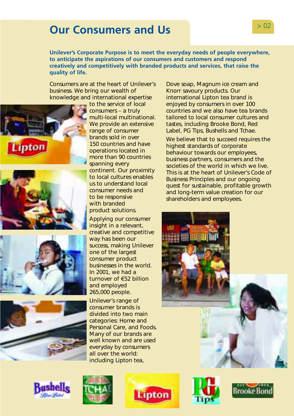# <span id="page-3-0"></span>> 02 **Our Consumers and Us**

**Unilever's Corporate Purpose is to meet the everyday needs of people everywhere, to anticipate the aspirations of our consumers and customers and respond creatively and competitively with branded products and services, that raise the quality of life.** 

Consumers are at the heart of Unilever's business. We bring our wealth of knowledge and international expertise









to the service of local consumers – a truly multi-local multinational. We provide an extensive range of consumer brands sold in over 150 countries and have operations located in more than 90 countries spanning every continent. Our proximity to local cultures enables us to understand local consumer needs and to be responsive with branded product solutions.

Applying our consumer insight in a relevant, creative and competitive way has been our success, making Unilever one of the largest consumer product businesses in the world. In  $2001$ , we had a turnover of €52 billion and employed 265,000 people.

Unilever's range of consumer brands is divided into two main categories: Home and Personal Care, and Foods. Many of our brands are well known and are used everyday by consumers all over the world: including Lipton tea,







Dove soap, Magnum ice cream and Knorr savoury products. Our international Lipton tea brand is enjoyed by consumers in over 100 countries and we also have tea brands tailored to local consumer cultures and tastes, including Brooke Bond, Red Label, PG Tips, Bushells and Tchae.

We believe that to succeed requires the highest standards of corporate behaviour towards our employees, business partners, consumers and the societies of the world in which we live. This is at the heart of Unilever's Code of Business Principles and our ongoing quest for sustainable, profitable growth and long-term value creation for our shareholders and employees.





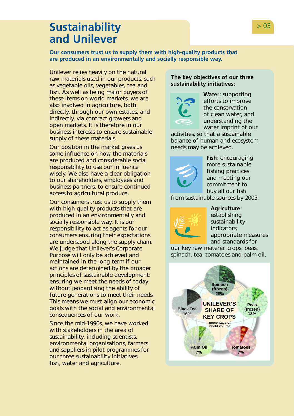## <span id="page-4-0"></span>**Sustainability** > 03 **and Unilever**

**Our consumers trust us to supply them with high-quality products that are produced in an environmentally and socially responsible way.** 

Unilever relies heavily on the natural raw materials used in our products, such as vegetable oils, vegetables, tea and fish. As well as being major buyers of these items on world markets, we are also involved in agriculture, both directly, through our own estates, and indirectly, via contract growers and open markets. It is therefore in our business interests to ensure sustainable supply of these materials.

Our position in the market gives us some influence on how the materials are produced and considerable social responsibility to use our influence wisely. We also have a clear obligation to our shareholders, employees and business partners, to ensure continued access to agricultural produce.

Our consumers trust us to supply them with high-quality products that are produced in an environmentally and socially responsible way. It is our responsibility to act as agents for our consumers ensuring their expectations are understood along the supply chain. We judge that Unilever's Corporate Purpose will only be achieved and maintained in the long term if our actions are determined by the broader principles of sustainable development: ensuring we meet the needs of today without jeopardising the ability of future generations to meet their needs. This means we must align our economic goals with the social and environmental consequences of our work.

Since the mid-1990s, we have worked with stakeholders in the area of sustainability, including scientists, environmental organisations, farmers and suppliers in pilot programmes for our three sustainability initiatives: fish, water and agriculture.

### **The key objectives of our three sustainability initiatives:**



**Water**: supporting efforts to improve the conservation of clean water, and understanding the water imprint of our

activities, so that a sustainable balance of human and ecosystem needs may be achieved.



**Fish**: encouraging more sustainable fishing practices and meeting our commitment to buy all our fish

from sustainable sources by 2005.



**Agriculture**:

establishing sustainability indicators, appropriate measures and standards for

our key raw material crops: peas, spinach, tea, tomatoes and palm oil.

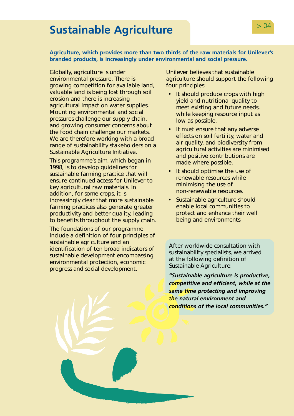# <span id="page-5-0"></span>**Sustainable Agriculture Sustainable Agriculture**

### **Agriculture, which provides more than two thirds of the raw materials for Unilever's branded products, is increasingly under environmental and social pressure.**

Globally, agriculture is under environmental pressure. There is growing competition for available land, valuable land is being lost through soil erosion and there is increasing agricultural impact on water supplies. Mounting environmental and social pressures challenge our supply chain, and growing consumer concerns about the food chain challenge our markets. We are therefore working with a broad range of sustainability stakeholders on a Sustainable Agriculture Initiative.

This programme's aim, which began in 1998, is to develop guidelines for sustainable farming practice that will ensure continued access for Unilever to key agricultural raw materials. In addition, for some crops, it is increasingly clear that more sustainable farming practices also generate greater productivity and better quality, leading to benefits throughout the supply chain.

The foundations of our programme include a definition of four principles of sustainable agriculture and an identification of ten broad indicators of sustainable development encompassing environmental protection, economic progress and social development.

Unilever believes that sustainable agriculture should support the following four principles:

- It should produce crops with high yield and nutritional quality to meet existing and future needs, while keeping resource input as low as possible.
- It must ensure that any adverse effects on soil fertility, water and air quality, and biodiversity from agricultural activities are minimised and positive contributions are made where possible.
- It should optimise the use of renewable resources while minimising the use of non-renewable resources.
- Sustainable agriculture should enable local communities to protect and enhance their well being and environments.

After worldwide consultation with sustainability specialists, we arrived at the following definition of Sustainable Agriculture:

*"Sustainable agriculture is productive, competitive and efficient, while at the same time protecting and improving the natural environment and conditions of the local communities."*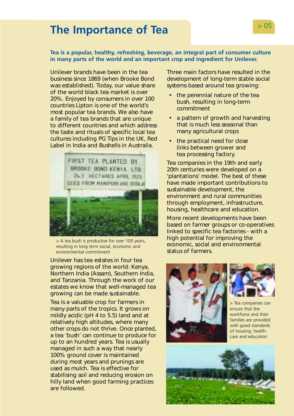# <span id="page-6-0"></span>> 05 **The Importance of Tea**

### **Tea is a popular, healthy, refreshing, beverage, an integral part of consumer culture in many parts of the world and an important crop and ingredient for Unilever.**

Unilever brands have been in the tea business since 1869 (when Brooke Bond was established). Today, our value share of the world black tea market is over 20%. Enjoyed by consumers in over 100 countries Lipton is one of the world's most popular tea brands. We also have a family of tea brands that are unique to different countries and which address the taste and rituals of specific local tea cultures including PG Tips in the UK, Red Label in India and Bushells in Australia.



> A tea bush is productive for over 100 years, resulting in long term social, economic and environmental commitment

Unilever has tea estates in four tea growing regions of the world: Kenya, Northern India (Assam), Southern India, and Tanzania. Through the work of our estates we know that well-managed tea growing can be made sustainable.

Tea is a valuable crop for farmers in many parts of the tropics. It grows on mildly acidic (pH 4 to 5.5) land and at relatively high altitudes, where many other crops do not thrive. Once planted, a tea 'bush' can continue to produce for up to an hundred years. Tea is usually managed in such a way that nearly 100% ground cover is maintained during most years and prunings are used as mulch. Tea is effective for stabilising soil and reducing erosion on hilly land when good farming practices are followed.

Three main factors have resulted in the development of long-term stable social systems based around tea growing:

- the perennial nature of the tea bush, resulting in long-term commitment
- a pattern of growth and harvesting that is much less seasonal than many agricultural crops
- the practical need for close links between grower and tea processing factory.

Tea companies in the 19th and early 20th centuries were developed on a 'plantations' model. The best of these have made important contributions to sustainable development, the environment and rural communities through employment, infrastructure, housing, healthcare and education.

More recent developments have been based on farmer groups or co-operatives linked to specific tea factories - with a high potential for improving the economic, social and environmental status of farmers.





> Tea companies can ensure that the workforce and their families are provided with good standards of housing, healthcare and education

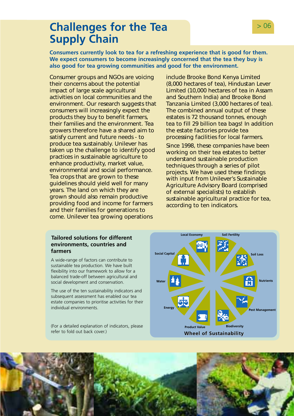## <span id="page-7-0"></span>**Challenges for the Tea 1999 1200 1200 Supply Chain**

**Consumers currently look to tea for a refreshing experience that is good for them. We expect consumers to become increasingly concerned that the tea they buy is also good for tea growing communities and good for the environment.** 

Consumer groups and NGOs are voicing their concerns about the potential impact of large scale agricultural activities on local communities and the environment. Our research suggests that consumers will increasingly expect the products they buy to benefit farmers, their families and the environment. Tea growers therefore have a shared aim to satisfy current and future needs - to produce tea sustainably. Unilever has taken up the challenge to identify good practices in sustainable agriculture to enhance productivity, market value, environmental and social performance. Tea crops that are grown to these guidelines should yield well for many years. The land on which they are grown should also remain productive providing food and income for farmers and their families for generations to come. Unilever tea growing operations

include Brooke Bond Kenya Limited (8,000 hectares of tea), Hindustan Lever Limited (10,000 hectares of tea in Assam and Southern India) and Brooke Bond Tanzania Limited (3,000 hectares of tea). The combined annual output of these estates is 72 thousand tonnes, enough tea to fill 29 billion tea bags! In addition the estate factories provide tea processing facilities for local farmers.

Since 1998, these companies have been working on their tea estates to better understand sustainable production techniques through a series of pilot projects. We have used these findings with input from Unilever's Sustainable Agriculture Advisory Board (comprised of external specialists) to establish sustainable agricultural practice for tea, according to ten indicators.

### **Tailored solutions for different environments, countries and farmers**

A wide-range of factors can contribute to sustainable tea production. We have built flexibility into our framework to allow for a balanced trade-off between agricultural and social development and conservation.

The use of the ten sustainability indicators and subsequent assessment has enabled our tea estate companies to prioritise activities for their individual environments.

(For a detailed explanation of indicators, please



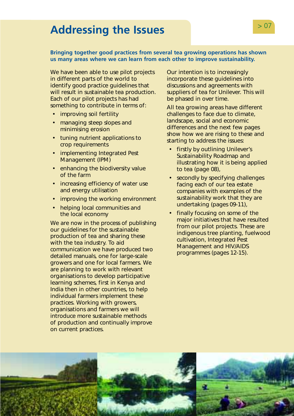# <span id="page-8-0"></span>> 07 **Addressing the Issues**

### **Bringing together good practices from several tea growing operations has shown us many areas where we can learn from each other to improve sustainability.**

We have been able to use pilot projects in different parts of the world to identify good practice guidelines that will result in sustainable tea production. Each of our pilot projects has had something to contribute in terms of:

- improving soil fertility
- managing steep slopes and minimising erosion
- tuning nutrient applications to crop requirements
- implementing Integrated Pest Management (IPM)
- enhancing the biodiversity value of the farm
- increasing efficiency of water use and energy utilisation
- improving the working environment
- helping local communities and the local economy

We are now in the process of publishing our guidelines for the sustainable production of tea and sharing these with the tea industry. To aid communication we have produced two detailed manuals, one for large-scale growers and one for local farmers. We are planning to work with relevant organisations to develop participative learning schemes, first in Kenya and India then in other countries, to help individual farmers implement these practices. Working with growers, organisations and farmers we will introduce more sustainable methods of production and continually improve on current practices.

Our intention is to increasingly incorporate these guidelines into discussions and agreements with suppliers of tea for Unilever. This will be phased in over time.

All tea growing areas have different challenges to face due to climate, landscape, social and economic differences and the next few pages show how we are rising to these and starting to address the issues:

- firstly by outlining Unilever's Sustainability Roadmap and illustrating how it is being applied to tea (page 08),
- secondly by specifying challenges facing each of our tea estate companies with examples of the sustainability work that they are undertaking (pages 09-11),
- finally focusing on some of the major initiatives that have resulted from our pilot projects. These are indigenous tree planting, fuelwood cultivation, Integrated Pest Management and HIV/AIDS programmes (pages 12-15).

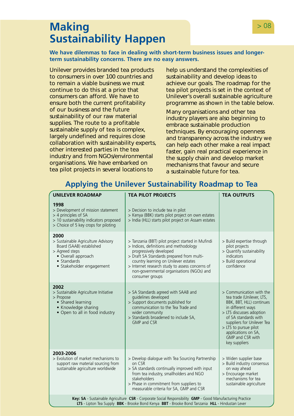## <span id="page-9-0"></span>**Making** > 08 **Sustainability Happen**

**We have dilemmas to face in dealing with short-term business issues and longerterm sustainability concerns. There are no easy answers.** 

Unilever provides branded tea products to consumers in over 100 countries and to remain a viable business we must continue to do this at a price that consumers can afford. We have to ensure both the current profitability of our business and the future sustainability of our raw material supplies. The route to a profitable sustainable supply of tea is complex, largely undefined and requires close collaboration with sustainability experts, other interested parties in the tea industry and from NGOs/environmental organisations. We have embarked on tea pilot projects in several locations to

help us understand the complexities of sustainability and develop ideas to achieve our goals. The roadmap for the tea pilot projects is set in the context of Unilever's overall sustainable agriculture programme as shown in the table below.

Many organisations and other tea industry players are also beginning to embrace sustainable production techniques. By encouraging openness and transparency across the industry we can help each other make a real impact faster, gain real practical experience in the supply chain and develop market mechanisms that favour and secure a sustainable future for tea.

### **Applying the Unilever Sustainability Roadmap to Tea**

| <b>UNILEVER ROADMAP</b>                                                                                                                                                                                       | <b>TEA PILOT PROJECTS</b>                                                                                                                                                                                                                                                                                                      | <b>TEA OUTPUTS</b>                                                                                                                                                                                                                                                            |
|---------------------------------------------------------------------------------------------------------------------------------------------------------------------------------------------------------------|--------------------------------------------------------------------------------------------------------------------------------------------------------------------------------------------------------------------------------------------------------------------------------------------------------------------------------|-------------------------------------------------------------------------------------------------------------------------------------------------------------------------------------------------------------------------------------------------------------------------------|
| 1998<br>> Development of mission statement<br>> 4 principles of SA<br>> 10 sustainability indicators proposed<br>> Choice of 5 key crops for piloting                                                         | > Decision to include tea in pilot<br>> Kenya (BBK) starts pilot project on own estates<br>> India (HLL) starts pilot project on Assam estates                                                                                                                                                                                 |                                                                                                                                                                                                                                                                               |
| 2000<br>> Sustainable Agriculture Advisory<br>Board (SAAB) established<br>> Agreed steps<br>• Overall approach<br>• Standards<br>· Stakeholder engagement                                                     | > Tanzania (BBT) pilot project started in Mufindi<br>> Indices, definitions and methodology<br>progressively developed<br>> Draft SA Standards prepared from multi-<br>country learning on Unilever estates<br>> Internet research study to assess concerns of<br>non-governmental organisations (NGOs) and<br>consumer groups | > Build expertise through<br>pilot projects<br>> Quantify sustainability<br>indicators<br>> Build operational<br>confidence                                                                                                                                                   |
| 2002<br>> Sustainable Agriculture Initiative<br>> Propose<br>• Shared learning<br>• Knowledge sharing<br>. Open to all in food industry                                                                       | > SA Standards agreed with SAAB and<br>quidelines developed<br>> Support documents published for<br>communication to the Tea Trade and<br>wider community<br>> Standards broadened to include SA,<br>GMP and CSR                                                                                                               | > Communication with the<br>tea trade (Unilever, LTS,<br>BBK, BBT, HLL) continues<br>in different ways<br>> LTS discusses adoption<br>of SA standards with<br>suppliers for Unilever Tea<br>> LTS to pursue pilot<br>applications on SA,<br>GMP and CSR with<br>key suppliers |
| 2003-2006<br>> Evolution of market mechanisms to<br>support raw material sourcing from<br>sustainable agriculture worldwide                                                                                   | > Develop dialogue with Tea Sourcing Partnership<br>on CSR<br>> SA standards continually improved with input<br>from tea industry, smallholders and NGO<br>stakeholders<br>> Phase in commitment from suppliers to<br>measurable criteria for SA, GMP and CSR                                                                  | > Widen supplier base<br>> Build industry consensus<br>on way ahead<br>> Encourage market<br>mechanisms for tea<br>sustainable agriculture                                                                                                                                    |
| Key: SA - Sustainable Agriculture CSR - Corporate Social Responsibility GMP - Good Manufacturing Practice<br>LTS - Lipton Tea Supply BBK - Brooke Bond Kenya BBT - Brooke Bond Tanzania HLL - Hindustan Lever |                                                                                                                                                                                                                                                                                                                                |                                                                                                                                                                                                                                                                               |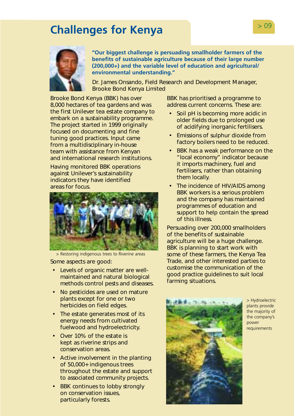# <span id="page-10-0"></span>**Challenges for Kenya Challenges 1**



**"Our biggest challenge is persuading smallholder farmers of the benefits of sustainable agriculture because of their large number (200,000+) and the variable level of education and agricultural/ environmental understanding."** 

Dr. James Onsando, Field Research and Development Manager, Brooke Bond Kenya Limited

Brooke Bond Kenya (BBK) has over 8,000 hectares of tea gardens and was the first Unilever tea estate company to embark on a sustainability programme. The project started in 1999 originally focused on documenting and fine tuning good practices. Input came from a multidisciplinary in-house team with assistance from Kenyan and international research institutions.

Having monitored BBK operations against Unilever's sustainability indicators they have identified areas for focus.



> Restoring indigenous trees to Riverine areas Some aspects are good:

- Levels of organic matter are wellmaintained and natural biological methods control pests and diseases.
- No pesticides are used on mature plants except for one or two herbicides on field edges.
- The estate generates most of its energy needs from cultivated fuelwood and hydroelectricity.
- Over 10% of the estate is kept as riverine strips and conservation areas.
- Active involvement in the planting of 50,000+ indigenous trees throughout the estate and support to associated community projects.
- BBK continues to lobby strongly on conservation issues, particularly forests.

BBK has prioritised a programme to address current concerns. These are:

- Soil pH is becoming more acidic in older fields due to prolonged use of acidifying inorganic fertilisers.
- Emissions of sulphur dioxide from factory boilers need to be reduced.
- BBK has a weak performance on the "local economy" indicator because it imports machinery, fuel and fertilisers, rather than obtaining them locally.
- The incidence of HIV/AIDS among BBK workers is a serious problem and the company has maintained programmes of education and support to help contain the spread of this illness.

Persuading over 200,000 smallholders of the benefits of sustainable agriculture will be a huge challenge. BBK is planning to start work with some of these farmers, the Kenya Tea Trade, and other interested parties to customise the communication of the good practice guidelines to suit local farming situations.



> Hydroelectric plants provide the majority of the company's power requirements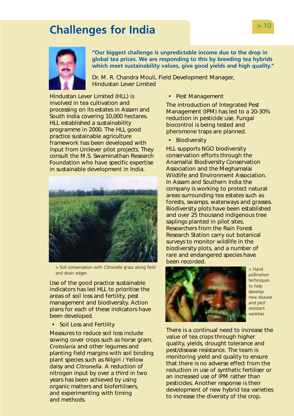# <span id="page-11-0"></span>**Challenges for India Challenges for India**



**"Our biggest challenge is unpredictable income due to the drop in global tea prices. We are responding to this by breeding tea hybrids which meet sustainability values, give good yields and high quality."** 

Dr. M. R. Chandra Mouli, Field Development Manager, Hindustan Lever Limited

Hindustan Lever Limited (HLL) is involved in tea cultivation and processing on its estates in Assam and South India covering 10,000 hectares. HLL established a sustainability programme in 2000. The HLL good practice sustainable agriculture framework has been developed with input from Unilever pilot projects. They consult the M.S. Swaminathan Research Foundation who have specific expertise in sustainable development in India.



> Soil conservation with *Citronella* grass along field and drain edges

Use of the good practice sustainable indicators has led HLL to prioritise the areas of soil loss and fertility, pest management and biodiversity. Action plans for each of these indicators have been developed.

• Soil Loss and Fertility

Measures to reduce soil loss include sowing cover crops such as horse gram, *Crotolaria* and other legumes and planting field margins with soil binding plant species such as Nilgiri / Yellow daisy and *Citronella*. A reduction of nitrogen input by over a third in two years has been achieved by using organic matters and biofertilisers, and experimenting with timing and methods.

• Pest Management

The introduction of Integrated Pest Management (IPM) has led to a 20-30% reduction in pesticide use. Fungal biocontrol is being tested and pheromone traps are planned.

• Biodiversity

HLL supports NGO biodiversity conservation efforts through the Anamallai Biodiversity Conservation Association and the Meghamalai Wildlife and Environment Association. In Assam and Southern India the company is working to protect natural areas surrounding tea estates such as forests, swamps, waterways and grasses. Biodiversity plots have been established and over 25 thousand indigenous tree saplings planted in pilot sites. Researchers from the Rain Forest Research Station carry out botanical surveys to monitor wildlife in the biodiversity plots, and a number of rare and endangered species have been recorded.



> Hand pollination techniques to help develop new disease and pest resistant varieties

There is a continual need to increase the value of tea crops through higher quality, yields, drought tolerance and pest/disease resistance. The team is monitoring yield and quality to ensure that there is no adverse effect from the reduction in use of synthetic fertiliser or an increased use of IPM rather than pesticides. Another response is their development of new hybrid tea varieties to increase the diversity of the crop.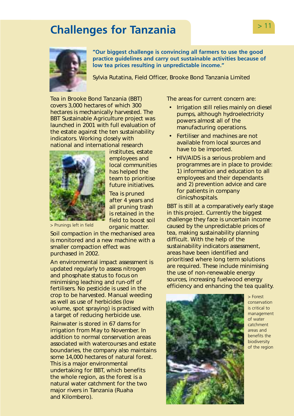# <span id="page-12-0"></span>> 11 **Challenges for Tanzania**



**"Our biggest challenge is convincing all farmers to use the good practice guidelines and carry out sustainable activities because of low tea prices resulting in unpredictable income."** 

Sylvia Rutatina, Field Officer, Brooke Bond Tanzania Limited

Tea in Brooke Bond Tanzania (BBT) covers 3,000 hectares of which 300 hectares is mechanically harvested. The BBT Sustainable Agriculture project was launched in 2001 with full evaluation of the estate against the ten sustainability indicators. Working closely with national and international research



institutes, estate employees and local communities has helped the team to prioritise future initiatives.

Tea is pruned after 4 years and all pruning trash is retained in the field to boost soil organic matter.

> Prunings left in field

Soil compaction in the mechanised area is monitored and a new machine with a smaller compaction effect was purchased in 2002.

An environmental impact assessment is updated regularly to assess nitrogen and phosphate status to focus on minimising leaching and run-off of fertilisers. No pesticide is used in the crop to be harvested. Manual weeding as well as use of herbicides (low volume, spot spraying) is practised with a target of reducing herbicide use.

Rainwater is stored in 67 dams for irrigation from May to November. In addition to normal conservation areas associated with watercourses and estate boundaries, the company also maintains some 14,000 hectares of natural forest. This is a major environmental undertaking for BBT, which benefits the whole region, as the forest is a natural water catchment for the two major rivers in Tanzania (Ruaha and Kilombero).

The areas for current concern are:

- Irrigation still relies mainly on diesel pumps, although hydroelectricity powers almost all of the manufacturing operations.
- Fertiliser and machines are not available from local sources and have to be imported.
- HIV/AIDS is a serious problem and programmes are in place to provide: 1) information and education to all employees and their dependants and 2) prevention advice and care for patients in company clinics/hospitals.

BBT is still at a comparatively early stage in this project. Currently the biggest challenge they face is uncertain income caused by the unpredictable prices of tea, making sustainability planning difficult. With the help of the sustainability indicators assessment, areas have been identified and prioritised where long term solutions are required. These include minimising the use of non-renewable energy sources, increasing fuelwood energy efficiency and enhancing the tea quality.



> Forest conservation is critical to management of water catchment areas and benefits the biodiversity of the region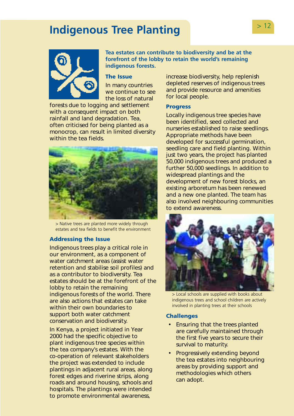# <span id="page-13-0"></span>**Indigenous Tree Planting PHS** 2022



**indigenous forests. Tea estates can contribute to biodiversity and be at the forefront of the lobby to retain the world's remaining** 

#### **The Issue**

In many countries we continue to see the loss of natural

forests due to logging and settlement with a consequent impact on both rainfall and land degradation. Tea, often criticised for being planted as a monocrop, can result in limited diversity within the tea fields.



> Native trees are planted more widely through estates and tea fields to benefit the environment

### **Addressing the Issue**

Indigenous trees play a critical role in our environment, as a component of water catchment areas (assist water retention and stabilise soil profiles) and as a contributor to biodiversity. Tea estates should be at the forefront of the lobby to retain the remaining indigenous forests of the world. There are also actions that estates can take within their own boundaries to support both water catchment conservation and biodiversity.

In Kenya, a project initiated in Year 2000 had the specific objective to plant indigenous tree species within the tea company's estates. With the co-operation of relevant stakeholders the project was extended to include plantings in adjacent rural areas, along forest edges and riverine strips, along roads and around housing, schools and hospitals. The plantings were intended to promote environmental awareness,

increase biodiversity, help replenish depleted reserves of indigenous trees and provide resource and amenities for local people.

#### **Progress**

Locally indigenous tree species have been identified, seed collected and nurseries established to raise seedlings. Appropriate methods have been developed for successful germination, seedling care and field planting. Within just two years, the project has planted 50,000 indigenous trees and produced a further 50,000 seedlings. In addition to widespread plantings and the development of new forest blocks, an existing arboretum has been renewed and a new one planted. The team has also involved neighbouring communities to extend awareness.



> Local schools are supplied with books about indigenous trees and school children are actively involved in planting trees at their schools

#### **Challenges**

- Ensuring that the trees planted are carefully maintained through the first five years to secure their survival to maturity.
- Progressively extending beyond the tea estates into neighbouring areas by providing support and methodologies which others can adopt.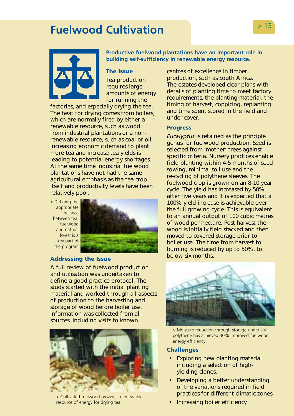# <span id="page-14-0"></span>> 13 **Fuelwood Cultivation**



**Productive fuelwood plantations have an important role in building self-sufficiency in renewable energy resource.** 

#### **The Issue**

Tea production requires large amounts of energy for running the

factories, and especially drying the tea. The heat for drying comes from boilers, which are normally fired by either a renewable resource, such as wood from industrial plantations or a nonrenewable resource, such as coal or oil. Increasing economic demand to plant more tea and increase tea yields is leading to potential energy shortages. At the same time industrial fuelwood plantations have not had the same agricultural emphasis as the tea crop itself and productivity levels have been relatively poor.

> Defining the appropriate balance between tea, fuelwood and natural forest is a key part of the program



#### **Addressing the Issue**

A full review of fuelwood production and utilisation was undertaken to define a good practice protocol. The study started with the initial planting material and worked through all aspects of production to the harvesting and storage of wood before boiler use. Information was collected from all sources, including visits to known



> Cultivated fuelwood provides a renewable resource of energy for drying tea

centres of excellence in timber production, such as South Africa. The estates developed clear plans with details of planting time to meet factory requirements, the planting material, the timing of harvest, coppicing, replanting and time spent stored in the field and under cover.

#### **Progress**

*Eucalyptus* is retained as the principle genus for fuelwood production. Seed is selected from 'mother' trees against specific criteria. Nursery practices enable field planting within 4-5 months of seed sowing, minimal soil use and the re-cycling of polythene sleeves. The fuelwood crop is grown on an 8-10 year cycle. The yield has increased by 50% after five years and it is expected that a 100% yield increase is achievable over the full growing cycle. This is equivalent to an annual output of 100 cubic metres of wood per hectare. Post harvest the wood is initially field stacked and then moved to covered storage prior to boiler use. The time from harvest to burning is reduced by up to 50%, to below six months.



> Moisture reduction through storage under UV polythene has achieved 30% improved fuelwood energy efficiency

#### **Challenges**

- Exploring new planting material including a selection of highyielding clones.
- Developing a better understanding of the variations required in field practices for different climatic zones.
- Increasing boiler efficiency.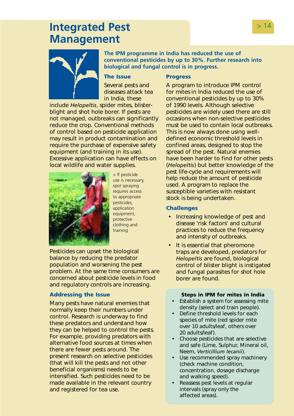## <span id="page-15-0"></span>**Integrated Pest Allen Except Additional State of the State Additional State Additional State Additional State Additional State Additional State Additional State Additional State Additional State Additional State Additio Management**



**The IPM programme in India has reduced the use of conventional pesticides by up to 30%. Further research into biological and fungal control is in progress.** 

### **The Issue**

### **Progress**

Several pests and diseases attack tea in India, these

include *Helopeltis*, spider mites, blisterblight and shot hole borer. If pests are not managed, outbreaks can significantly reduce the crop. Conventional methods of control based on pesticide application may result in product contamination and require the purchase of expensive safety equipment (and training in its use). Excessive application can have effects on local wildlife and water supplies.



> If pesticide use is necessary, spot spraying requires access to appropriate pesticides, application equipment, protective clothing and training

Pesticides can upset the biological balance by reducing the predator population and worsening the pest problem. At the same time consumers are concerned about pesticide levels in food and regulatory controls are increasing.

### **Addressing the Issue**

Many pests have natural enemies that normally keep their numbers under control. Research is underway to find these predators and understand how they can be helped to control the pests. For example, providing predators with alternative food sources at times when there are fewer pests around. The present research on selective pesticides (that will kill the pests and not other beneficial organisms) needs to be intensified. Such pesticides need to be made available in the relevant country and registered for tea use.

A program to introduce IPM control for mites in India reduced the use of conventional pesticides by up to 30% of 1990 levels. Although selective pesticides are widely used there are still occasions when non-selective pesticides must be used to contain local outbreaks. This is now always done using welldefined economic threshold levels in confined areas, designed to stop the spread of the pest. Natural enemies have been harder to find for other pests (*Helopeltis*) but better knowledge of the pest life-cycle and requirements will help reduce the amount of pesticide used. A program to replace the susceptible varieties with resistant stock is being undertaken.

### **Challenges**

- Increasing knowledge of pest and disease 'risk factors' and cultural practices to reduce the frequency and intensity of outbreaks.
- It is essential that pheromone traps are developed, predators for *Helopeltis* are found, biological control of blister blight is instigated and fungal parasites for shot hole borer are found.

#### **Steps in IPM for mites in India**

- Establish a system for assessing mite density (select and train people).
- Define threshold levels for each species of mite (red spider mite over 10 adults/leaf, others over 20 adults/leaf).
- Choose pesticides that are selective and safe (Lime, Sulphur, Mineral oil, Neem, *Verticillium lecanii*).
- Use recommended spray machinery (check machine condition, concentration, dosage discharge and walking speed).
- Reassess pest levels at regular intervals (spray only the affected areas).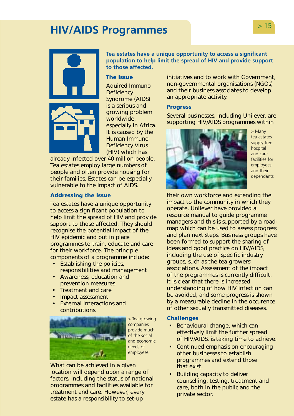# <span id="page-16-0"></span>> 15 **HIV/AIDS Programmes**



**Tea estates have a unique opportunity to access a significant population to help limit the spread of HIV and provide support to those affected.** 

#### **The Issue**

Aquired Immuno **Deficiency** Syndrome (AIDS) is a serious and growing problem worldwide, especially in Africa. It is caused by the Human Immuno Deficiency Virus (HIV) which has

already infected over 40 million people. Tea estates employ large numbers of people and often provide housing for their families. Estates can be especially vulnerable to the impact of AIDS.

#### **Addressing the Issue**

Tea estates have a unique opportunity to access a significant population to help limit the spread of HIV and provide support to those affected. They should recognise the potential impact of the HIV epidemic and put in place programmes to train, educate and care for their workforce. The principle components of a programme include:

- Establishing the policies, responsibilities and management
- Awareness, education and prevention measures
- Treatment and care
- Impact assessment
- External interactions and contributions.



> Tea growing companies provide much of the social and economic needs of employees

What can be achieved in a given location will depend upon a range of factors, including the status of national programmes and facilities available for treatment and care. However, every estate has a responsibility to set-up

initiatives and to work with Government, non-governmental organisations (NGOs) and their business associates to develop an appropriate activity.

### **Progress**

Several businesses, including Unilever, are supporting HIV/AIDS programmes within



> Many tea estates supply free hospital and care facilities for employees and their dependants

their own workforce and extending the impact to the community in which they operate. Unilever have provided a resource manual to guide programme managers and this is supported by a roadmap which can be used to assess progress and plan next steps. Business groups have been formed to support the sharing of ideas and good practice on HIV/AIDS, including the use of specific industry groups, such as the tea growers' associations. Assessment of the impact of the programmes is currently difficult. It is clear that there is increased understanding of how HIV infection can be avoided, and some progress is shown by a measurable decline in the occurence of other sexually transmitted diseases.

#### **Challenges**

- Behavioural change, which can effectively limit the further spread of HIV/AIDS, is taking time to achieve.
- Continued emphasis on encouraging other businesses to establish programmes and extend those that exist.
- Building capacity to deliver counselling, testing, treatment and care, both in the public and the private sector.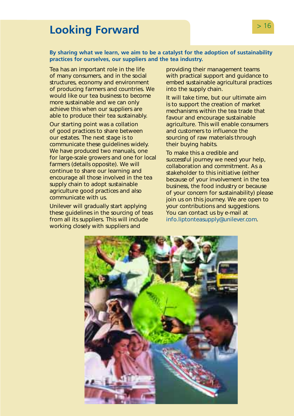# <span id="page-17-0"></span>**Looking Forward**  and the state of  $>16$

### **By sharing what we learn, we aim to be a catalyst for the adoption of sustainability practices for ourselves, our suppliers and the tea industry.**

Tea has an important role in the life of many consumers, and in the social structures, economy and environment of producing farmers and countries. We would like our tea business to become more sustainable and we can only achieve this when our suppliers are able to produce their tea sustainably.

Our starting point was a collation of good practices to share between our estates. The next stage is to communicate these guidelines widely. We have produced two manuals, one for large-scale growers and one for local farmers (details opposite). We will continue to share our learning and encourage all those involved in the tea supply chain to adopt sustainable agriculture good practices and also communicate with us.

Unilever will gradually start applying these guidelines in the sourcing of teas from all its suppliers. This will include working closely with suppliers and

providing their management teams with practical support and guidance to embed sustainable agricultural practices into the supply chain.

It will take time, but our ultimate aim is to support the creation of market mechanisms within the tea trade that favour and encourage sustainable agriculture. This will enable consumers and customers to influence the sourcing of raw materials through their buying habits.

To make this a credible and successful journey we need your help, collaboration and commitment. As a stakeholder to this initiative (either because of your involvement in the tea business, the food industry or because of your concern for sustainability) please join us on this journey. We are open to your contributions and suggestions. You can contact us by e-mail at [info.liptonteasupply@unilever.com.](mailto:info.liptonteasupply@unilever.com) 

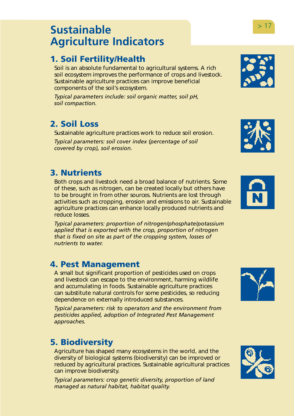## <span id="page-18-0"></span>**Sustainable Agriculture Indicators**

## **1. Soil Fertility/Health**

Soil is an absolute fundamental to agricultural systems. A rich soil ecosystem improves the performance of crops and livestock. Sustainable agriculture practices can improve beneficial components of the soil's ecosystem.

*Typical parameters include: soil organic matter, soil pH, soil compaction.* 

## **2. Soil Loss**

Sustainable agriculture practices work to reduce soil erosion.

*Typical parameters: soil cover index (percentage of soil covered by crop), soil erosion.* 

## **3. Nutrients**

Both crops and livestock need a broad balance of nutrients. Some of these, such as nitrogen, can be created locally but others have to be brought in from other sources. Nutrients are lost through activities such as cropping, erosion and emissions to air. Sustainable agriculture practices can enhance locally produced nutrients and reduce losses.

*Typical parameters: proportion of nitrogen/phosphate/potassium applied that is exported with the crop, proportion of nitrogen that is fixed on site as part of the cropping system, losses of nutrients to water.* 

### **4. Pest Management**

A small but significant proportion of pesticides used on crops and livestock can escape to the environment, harming wildlife and accumulating in foods. Sustainable agriculture practices can substitute natural controls for some pesticides, so reducing dependence on externally introduced substances.

*Typical parameters: risk to operators and the environment from pesticides applied, adoption of Integrated Pest Management approaches.* 

## **5. Biodiversity**

Agriculture has shaped many ecosystems in the world, and the diversity of biological systems (biodiversity) can be improved or reduced by agricultural practices. Sustainable agricultural practices can improve biodiversity.

*Typical parameters: crop genetic diversity, proportion of land managed as natural habitat, habitat quality.* 











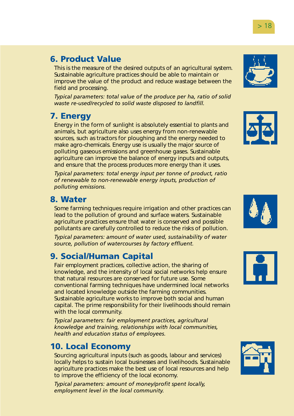### **6. Product Value**

This is the measure of the desired outputs of an agricultural system. Sustainable agriculture practices should be able to maintain or improve the value of the product and reduce wastage between the field and processing.

*Typical parameters: total value of the produce per ha, ratio of solid waste re-used/recycled to solid waste disposed to landfill.* 

### **7. Energy**

Energy in the form of sunlight is absolutely essential to plants and animals, but agriculture also uses energy from non-renewable sources, such as tractors for ploughing and the energy needed to make agro-chemicals. Energy use is usually the major source of polluting gaseous emissions and greenhouse gases. Sustainable agriculture can improve the balance of energy inputs and outputs, and ensure that the process produces more energy than it uses.

*Typical parameters: total energy input per tonne of product, ratio of renewable to non-renewable energy inputs, production of polluting emissions.* 

### **8. Water**

Some farming techniques require irrigation and other practices can lead to the pollution of ground and surface waters. Sustainable agriculture practices ensure that water is conserved and possible pollutants are carefully controlled to reduce the risks of pollution.

*Typical parameters: amount of water used, sustainability of water source, pollution of watercourses by factory effluent.* 

### **9. Social/Human Capital**

Fair employment practices, collective action, the sharing of knowledge, and the intensity of local social networks help ensure that natural resources are conserved for future use. Some conventional farming techniques have undermined local networks and located knowledge outside the farming communities. Sustainable agriculture works to improve both social and human capital. The prime responsibility for their livelihoods should remain with the local community.

*Typical parameters: fair employment practices, agricultural knowledge and training, relationships with local communities, health and education status of employees.* 

### **10. Local Economy**

Sourcing agricultural inputs (such as goods, labour and services) locally helps to sustain local businesses and livelihoods. Sustainable agriculture practices make the best use of local resources and help to improve the efficiency of the local economy.

*Typical parameters: amount of money/profit spent locally, employment level in the local community.* 











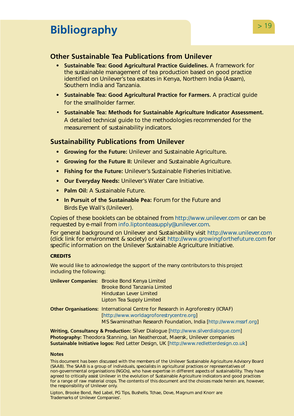# <span id="page-20-0"></span>> 19 **Bibliography**

### **Other Sustainable Tea Publications from Unilever**

- **Sustainable Tea: Good Agricultural Practice Guidelines.** A framework for the sustainable management of tea production based on good practice identified on Unilever's tea estates in Kenya, Northern India (Assam), Southern India and Tanzania.
- **Sustainable Tea: Good Agricultural Practice for Farmers.** A practical guide for the smallholder farmer.
- **Sustainable Tea: Methods for Sustainable Agriculture Indicator Assessment.**  A detailed technical guide to the methodologies recommended for the measurement of sustainability indicators.

### **Sustainability Publications from Unilever**

- **Growing for the Future:** Unilever and Sustainable Agriculture**.**
- **Growing for the Future II:** Unilever and Sustainable Agriculture.
- **Fishing for the Future:** Unilever's Sustainable Fisheries Initiative.
- **Our Everyday Needs:** Unilever's Water Care Initiative.
- **Palm Oil:** A Sustainable Future.
- **In Pursuit of the Sustainable Pea:** Forum for the Future and Birds Eye Wall's (Unilever).

Copies of these booklets can be obtained fro[m http://www.unilever.com](http://www.unilever.com) or can be requested by e-mail from [info.liptonteasupply@unilever.com.](mailto:info.liptonteasupply@unilever.com) 

For general background on Unilever and Sustainability visit<http://www.unilever.com> (click link for environment & society) or visit<http://www.growingforthefuture.com>for specific information on the Unilever Sustainable Agriculture Initiative.

#### **CREDITS**

We would like to acknowledge the support of the many contributors to this project including the following;

| <b>Unilever Companies:</b> Brooke Bond Kenya Limited<br><b>Brooke Bond Tanzania Limited</b>                                                                                                           |
|-------------------------------------------------------------------------------------------------------------------------------------------------------------------------------------------------------|
| <b>Hindustan Lever Limited</b><br>Lipton Tea Supply Limited                                                                                                                                           |
| <b>Other Organisations:</b> International Centre for Research in Agroforestry (ICRAF)<br>[http://www.worldagroforestrycentre.org]<br>MS Swaminathan Research Foundation, India [http://www.mssrf.org] |

**Writing, Consultancy & Production:** Silver Dialogu[e \[http://www.silverdialogue.com\]](http://www.silverdialogue.com)  **Photography:** Theodora Stanning, Ian Neathercoat, Maersk, Unilever companies **Sustainable Initiative logos:** Red Letter Design, U[K \[http://www.redletterdesign.co.uk\]](http://www.redletterdesign.co.uk) 

#### **Notes**

This document has been discussed with the members of the Unilever Sustainable Agriculture Advisory Board (SAAB). The SAAB is a group of individuals, specialists in agricultural practices or representatives of non-governmental organisations (NGOs), who have expertise in different aspects of sustainability. They have agreed to critically assist Unilever in the evolution of Sustainable Agriculture indicators and good practices for a range of raw material crops. The contents of this document and the choices made herein are, however, the responsibility of Unilever only.

Lipton, Brooke Bond, Red Label, PG Tips, Bushells, Tchae, Dove, Magnum and Knorr are Trademarks of Unilever Companies'.